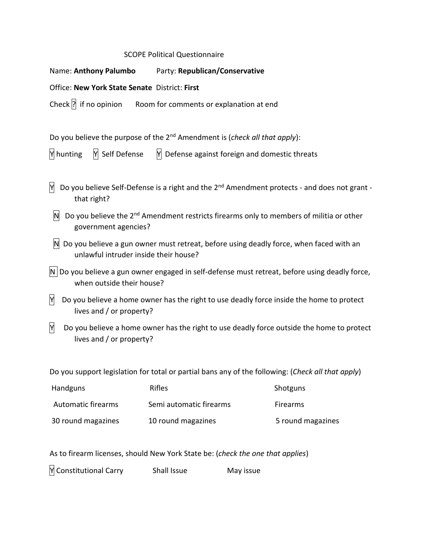## SCOPE Political Questionnaire

|                                                                                                                                   | Name: Anthony Palumbo Party: Republican/Conservative                                                          |                   |  |  |  |
|-----------------------------------------------------------------------------------------------------------------------------------|---------------------------------------------------------------------------------------------------------------|-------------------|--|--|--|
| Office: New York State Senate District: First                                                                                     |                                                                                                               |                   |  |  |  |
| Check $ $ ? if no opinion                                                                                                         | Room for comments or explanation at end                                                                       |                   |  |  |  |
| Do you believe the purpose of the 2 <sup>nd</sup> Amendment is (check all that apply):                                            |                                                                                                               |                   |  |  |  |
| Y Self Defense<br>Y hunting                                                                                                       | $\mathsf{M}\!\!\mathsf{I}$ Defense against foreign and domestic threats                                       |                   |  |  |  |
| Do you believe Self-Defense is a right and the 2 <sup>nd</sup> Amendment protects - and does not grant -<br>Y<br>that right?      |                                                                                                               |                   |  |  |  |
| Do you believe the 2 <sup>nd</sup> Amendment restricts firearms only to members of militia or other<br>N.<br>government agencies? |                                                                                                               |                   |  |  |  |
| unlawful intruder inside their house?                                                                                             | N Do you believe a gun owner must retreat, before using deadly force, when faced with an                      |                   |  |  |  |
| when outside their house?                                                                                                         | $\vert$ N $\vert$ Do you believe a gun owner engaged in self-defense must retreat, before using deadly force, |                   |  |  |  |
| Y<br>Do you believe a home owner has the right to use deadly force inside the home to protect<br>lives and / or property?         |                                                                                                               |                   |  |  |  |
| $\overline{Y}$<br>lives and / or property?                                                                                        | Do you believe a home owner has the right to use deadly force outside the home to protect                     |                   |  |  |  |
|                                                                                                                                   | Do you support legislation for total or partial bans any of the following: (Check all that apply)             |                   |  |  |  |
| Handguns                                                                                                                          | Rifles                                                                                                        | Shotguns          |  |  |  |
| Automatic firearms                                                                                                                | Semi automatic firearms                                                                                       | Firearms          |  |  |  |
| 30 round magazines                                                                                                                | 10 round magazines                                                                                            | 5 round magazines |  |  |  |

As to firearm licenses, should New York State be: (*check the one that applies*)

Y Constitutional Carry Shall Issue May issue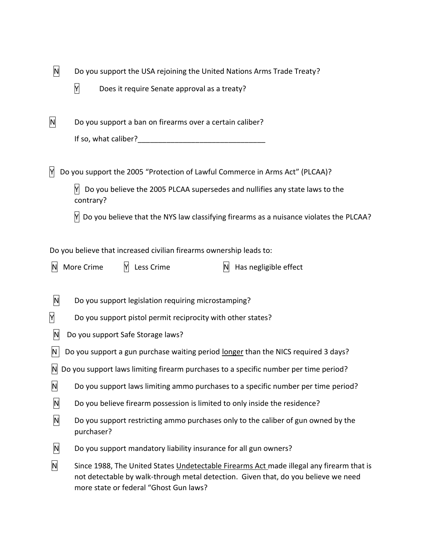| N. | Do you support the USA rejoining the United Nations Arms Trade Treaty? |
|----|------------------------------------------------------------------------|
|    |                                                                        |

 $\overline{Y}$  Does it require Senate approval as a treaty?

| N<br>Do you support a ban on firearms over a certain caliber? |  |
|---------------------------------------------------------------|--|
|---------------------------------------------------------------|--|

| If so, what caliber? |  |
|----------------------|--|
|----------------------|--|

 $\overline{M}$  Do you support the 2005 "Protection of Lawful Commerce in Arms Act" (PLCAA)?

 $\mathbb{M}$  Do you believe the 2005 PLCAA supersedes and nullifies any state laws to the contrary?

 $\mathbb N$  Do you believe that the NYS law classifying firearms as a nuisance violates the PLCAA?

Do you believe that increased civilian firearms ownership leads to:

 $\mathbb N$  More Crime  $\mathbb N$  Less Crime  $\mathbb N$  Has negligible effect

- $\overline{N}$  Do you support legislation requiring microstamping?
- $\overline{Y}$  Do you support pistol permit reciprocity with other states?
- $\vert N \vert$  Do you support Safe Storage laws?
- $\vert N \vert$  Do you support a gun purchase waiting period longer than the NICS required 3 days?
- $\vert$ N Do you support laws limiting firearm purchases to a specific number per time period?
- $\overline{N}$  Do you support laws limiting ammo purchases to a specific number per time period?
- $\vert N \vert$  Do you believe firearm possession is limited to only inside the residence?
- $\mathsf{N}$  Do you support restricting ammo purchases only to the caliber of gun owned by the purchaser?
- $\vert N \vert$  Do you support mandatory liability insurance for all gun owners?
- $\overline{N}$  Since 1988, The United States Undetectable Firearms Act made illegal any firearm that is not detectable by walk-through [metal detection.](https://en.wikipedia.org/wiki/Metal_detector) Given that, do you believe we need more state or federal "Ghost Gun laws?